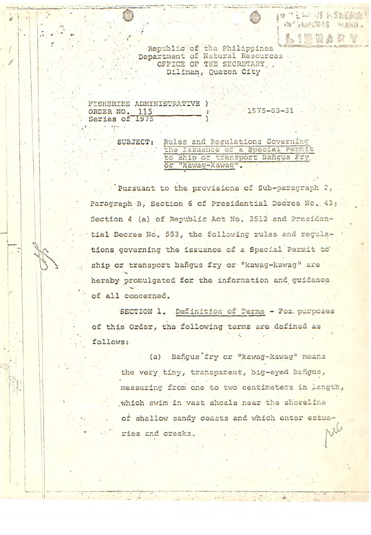Republic of the Philippines Department of Natural Resources OFFICE OF THE SECRETARY Diliman, Quezon City

**MELLI OF FISHERING** W AMUROS MANIL.

FISHERIES ADMINISTRATIVE ) ORDER NO. 115<br>Series of 1975  $1975 - 03 - 31$ 

 $\mathbb{R} \times \mathbb{R}$ 

SUBJECT: Rules and Requlations Governing the Issuance of a Special Permit<br>to ship or transport Bangus Fry. or "kawag-kawag".

Pursuant to the provisions of Sub-paragraph 2, Paragraph B, Section 6 of Presidential Decree No. 43; Section 4 (a) of Republic Act No. 3512 and Presidential Decree No. 553, the following rules and regulations governing the issuance of a Special Permit to ship or transport bañqus fry or "kawag-kawag" are hereby promulgated for the information and guidance of all concerned.

SECTION 1. Definition of Terms - For. purposes of this Order, the following terms are defined as follows:

(a) Bangus fry or "kawag-kawag" means the very tiny, transparent, big-eyed bangus, measuring from one to two centimeters in length, which swim in vast shoals near the shoreline of shallow sandy coasts and which enter estua-ALA ries and creeks.

 $\label{eq:2.1} \frac{1}{\mu^2} \frac{1}{\mu^2} \frac{1}{\mu^2} \frac{1}{\mu^2} \frac{1}{\mu^2} \frac{1}{\mu^2} \frac{1}{\mu^2} \frac{1}{\mu^2} \frac{1}{\mu^2} \frac{1}{\mu^2} \frac{1}{\mu^2} \frac{1}{\mu^2} \frac{1}{\mu^2} \frac{1}{\mu^2} \frac{1}{\mu^2} \frac{1}{\mu^2} \frac{1}{\mu^2} \frac{1}{\mu^2} \frac{1}{\mu^2} \frac{1}{\mu^2} \frac{1}{\mu^2} \$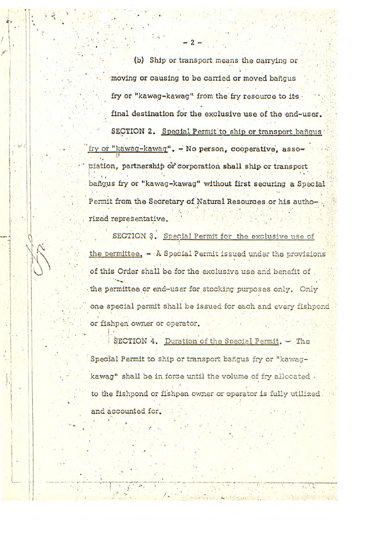(b) Ship or transport means the carrying or moving **or** causing to be carried or moved bañgus fry or "kawag-kawag" from the fry resource to its final destination for the **exclusive use** of the end-user. SECTION 2. Special Permit to ship or transport bafigus *fry* or U36wag\_kwacj\*, - **No person, cooperative,** assotiation, partnership or corporation shall ship or transport baigus fry or **"kawag-kawag** without first securing a Special. Permit from the Secretary of Natural Resources or his authorized representative.

SECTION 3. Special Permit for the exclusive use of the permittee.  $-$  A Special Permit issued under the provisions of this Order shall be for the exclusive use and benefit of the permittee or end-user for stocking purposes only. Only one special permit shall be issued for each and every fishpond or fishpen owner or operator.

SECTION 4. Duration of the Special Permit. - The Special Permit to ship or transport bangus fry or "kawagkawag" shall be in force until the volume of fry allocated. to the fishpond or fishpen owner or operator is fully utilized. and accounted for.

 $\mathbf{r} = \mathbf{r} \times \mathbf{r}$ 

*1* | <sup>2</sup> + 2-2-20 | 200 | 200 | 200 | 200 | 200 | 200 | 200 | 200 | 200 | 200 | 200 | 200 | 200 | 200 | 200 | 200 | 200 | 200 | 200 | 200 | 200 | 200 | 200 | 200 | 200 | 200 | 200 | 200 | 200 | 200 | 200 | 200 | 200 | 200

• 1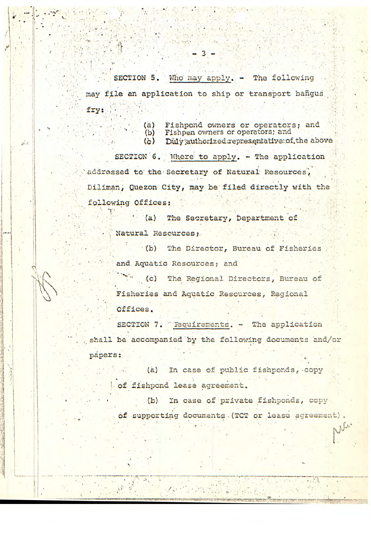SECTION 5. Who may apply. - The following may file an application to ship or transport bangus fry:

> $(a)$ Fishpond owners or operators; and

(b) Fishpen owners or operators; and

Duly authorized representative of the above  $\left( \frac{1}{2} \right)$ 

SECTION 6. Where to apply. - The application addressed to the Secretary of Natural Resources, Diliman, Quezon City, may be filed directly with the following Offices:

 $(a)$ The Secretary, Department of Natural Resources:

 $(b)$ The Director, Bureau of Fisheries and Aquatic Resources; and

 $\ddot{c}$  (c) The Regional Directors, Bureau of Fisheries and Aquatic Resources, Regional Offices.

SECTION 7. "Requirements. - The application shall be accompanied by the following documents and/or papers:

> $(a)$ In case of public fishponds, copy of fishpond lease agreement.

In case of private fishponds, copy  $(b)$ of supporting documents (TCT or lease agreement). Ne.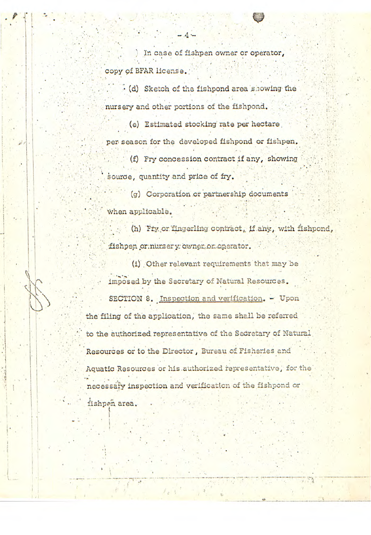In case of fishpen owner or operator, copy of BFAR license.

(d) Sketch of the fishpond area showing the nursery and other portions of the fishpond.

(e) Estimated stocking rate per hectare per season for the developed fishpond or fishpen. (f) Fry concession contract if any, showing source, quantity and price of fry.

(g) Corporation or partnership documents when applicable.

(h) Fry or fingerling contract, if any, with fishpond, fishpen or:nursery: owner or operator.

(1) Other relevant requirements that may be imposed by the Secretary of Natural Resources. SECTION 8. Inspection and verification. - Upon the filing of the application, the same shall be referred to the authorized representative of the Secretary of Natural Resources or to the Director, Bureau of Fisheries and Aquatic Resources or his authorized representative, for the necessary inspection and verification of the fishpond or

fishpen area.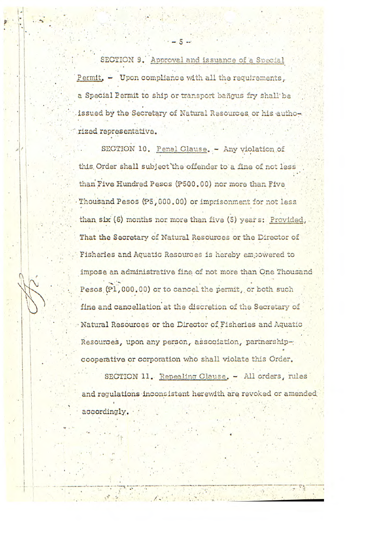SECTION 9. Approval and issuance of a Special Permit. - Upon compliance with all the requirements, a Special Permit to ship or transport bagus fry shall be issued by the Secretary of Natural Resources or his authoxized representative.

SECTION 10. Penal Clause. - Any violation of this Order shall subject the offender to a fine of not less than Five Hundred Pesos (P500.00) nor more than Five Thousand Pesos (P5,000.00) or imprisonment for not less than six (6) months nor more than five (5) years: Provided, That the Secretary of Natural Resources or the Director of Fisheries and Aquatic Resources is hereby empowered to impose an administrative fine of not more than One Thousand Pesos (P1,000.00) or to cancel the permit, or both such fine and cancellation at the discretion of the Secretary of Natural Resources or the Director of Fisheries and Aquatic Resources, upon any person, asoqiation, partnershipcooperative or corporation who shall violate this Order.

SECTION 11. Repealing Clause. - All orders, rules and regulations inconsistent herewith are revoked or amended accordingly.